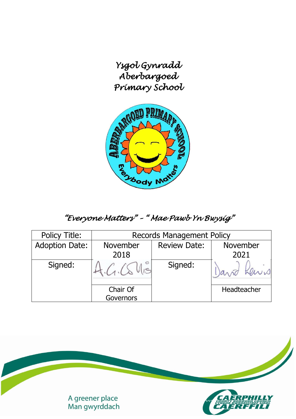*Ysgol Gynradd Aberbargoed Primary School* 



## *"Everyone Matters" – " Mae Pawb Yn Bwysig"*

| Policy Title:         | <b>Records Management Policy</b> |                     |                 |
|-----------------------|----------------------------------|---------------------|-----------------|
| <b>Adoption Date:</b> | <b>November</b>                  | <b>Review Date:</b> | November        |
|                       | 2018                             |                     | 2021            |
| Signed:               |                                  | Signed:             | )a <sub>v</sub> |
|                       | Chair Of<br><b>Governors</b>     |                     | Headteacher     |

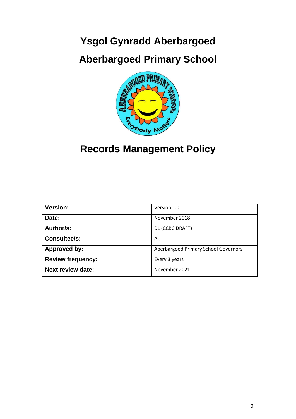# **Ysgol Gynradd Aberbargoed**

# **Aberbargoed Primary School**



# **Records Management Policy**

| <b>Version:</b>          | Version 1.0                          |  |
|--------------------------|--------------------------------------|--|
| Date:                    | November 2018                        |  |
| Author/s:                | DL (CCBC DRAFT)                      |  |
| <b>Consultee/s:</b>      | AC                                   |  |
| <b>Approved by:</b>      | Aberbargoed Primary School Governors |  |
| <b>Review frequency:</b> | Every 3 years                        |  |
| <b>Next review date:</b> | November 2021                        |  |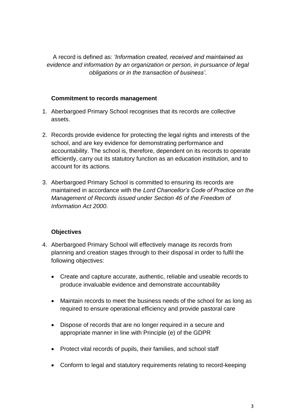A record is defined as: *'Information created, received and maintained as evidence and information by an organization or person, in pursuance of legal obligations or in the transaction of business'*.

#### **Commitment to records management**

- 1. Aberbargoed Primary School recognises that its records are collective assets.
- 2. Records provide evidence for protecting the legal rights and interests of the school, and are key evidence for demonstrating performance and accountability. The school is, therefore, dependent on its records to operate efficiently, carry out its statutory function as an education institution, and to account for its actions.
- 3. Aberbargoed Primary School is committed to ensuring its records are maintained in accordance with the *Lord Chancellor's Code of Practice on the Management of Records issued under Section 46 of the Freedom of Information Act 2000*.

#### **Objectives**

- 4. Aberbargoed Primary School will effectively manage its records from planning and creation stages through to their disposal in order to fulfil the following objectives:
	- Create and capture accurate, authentic, reliable and useable records to produce invaluable evidence and demonstrate accountability
	- Maintain records to meet the business needs of the school for as long as required to ensure operational efficiency and provide pastoral care
	- Dispose of records that are no longer required in a secure and appropriate manner in line with Principle (e) of the GDPR
	- Protect vital records of pupils, their families, and school staff
	- Conform to legal and statutory requirements relating to record-keeping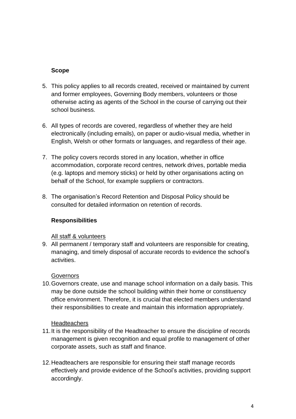### **Scope**

- 5. This policy applies to all records created, received or maintained by current and former employees, Governing Body members, volunteers or those otherwise acting as agents of the School in the course of carrying out their school business.
- 6. All types of records are covered, regardless of whether they are held electronically (including emails), on paper or audio-visual media, whether in English, Welsh or other formats or languages, and regardless of their age.
- 7. The policy covers records stored in any location, whether in office accommodation, corporate record centres, network drives, portable media (e.g. laptops and memory sticks) or held by other organisations acting on behalf of the School, for example suppliers or contractors.
- 8. The organisation's Record Retention and Disposal Policy should be consulted for detailed information on retention of records.

### **Responsibilities**

#### All staff & volunteers

9. All permanent / temporary staff and volunteers are responsible for creating, managing, and timely disposal of accurate records to evidence the school's activities.

#### **Governors**

10.Governors create, use and manage school information on a daily basis. This may be done outside the school building within their home or constituency office environment. Therefore, it is crucial that elected members understand their responsibilities to create and maintain this information appropriately.

#### **Headteachers**

- 11.It is the responsibility of the Headteacher to ensure the discipline of records management is given recognition and equal profile to management of other corporate assets, such as staff and finance.
- 12.Headteachers are responsible for ensuring their staff manage records effectively and provide evidence of the School's activities, providing support accordingly.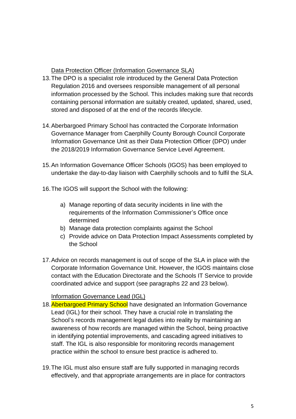Data Protection Officer (Information Governance SLA)

- 13.The DPO is a specialist role introduced by the General Data Protection Regulation 2016 and oversees responsible management of all personal information processed by the School. This includes making sure that records containing personal information are suitably created, updated, shared, used, stored and disposed of at the end of the records lifecycle.
- 14.Aberbargoed Primary School has contracted the Corporate Information Governance Manager from Caerphilly County Borough Council Corporate Information Governance Unit as their Data Protection Officer (DPO) under the 2018/2019 Information Governance Service Level Agreement.
- 15.An Information Governance Officer Schools (IGOS) has been employed to undertake the day-to-day liaison with Caerphilly schools and to fulfil the SLA.
- 16.The IGOS will support the School with the following:
	- a) Manage reporting of data security incidents in line with the requirements of the Information Commissioner's Office once determined
	- b) Manage data protection complaints against the School
	- c) Provide advice on Data Protection Impact Assessments completed by the School
- 17.Advice on records management is out of scope of the SLA in place with the Corporate Information Governance Unit. However, the IGOS maintains close contact with the Education Directorate and the Schools IT Service to provide coordinated advice and support (see paragraphs 22 and 23 below).

#### Information Governance Lead (IGL)

- 18. Aberbargoed Primary School have designated an Information Governance Lead (IGL) for their school. They have a crucial role in translating the School's records management legal duties into reality by maintaining an awareness of how records are managed within the School, being proactive in identifying potential improvements, and cascading agreed initiatives to staff. The IGL is also responsible for monitoring records management practice within the school to ensure best practice is adhered to.
- 19.The IGL must also ensure staff are fully supported in managing records effectively, and that appropriate arrangements are in place for contractors